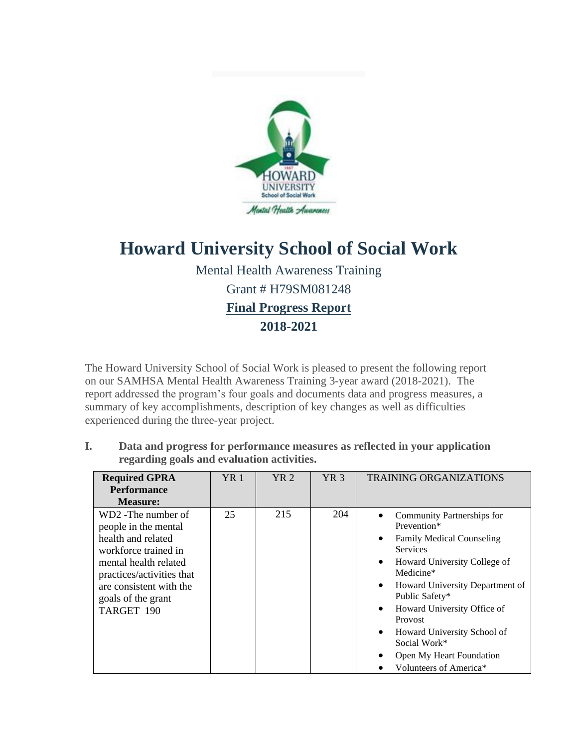

# **Howard University School of Social Work**

Mental Health Awareness Training Grant # H79SM081248 **Final Progress Report** 

**2018-2021**

The Howard University School of Social Work is pleased to present the following report on our SAMHSA Mental Health Awareness Training 3-year award (2018-2021). The report addressed the program's four goals and documents data and progress measures, a summary of key accomplishments, description of key changes as well as difficulties experienced during the three-year project.

**I. Data and progress for performance measures as reflected in your application regarding goals and evaluation activities.**

| <b>Required GPRA</b>      | <b>YR</b> 1 | YR2 | YR3 | <b>TRAINING ORGANIZATIONS</b>                |  |
|---------------------------|-------------|-----|-----|----------------------------------------------|--|
| <b>Performance</b>        |             |     |     |                                              |  |
| <b>Measure:</b>           |             |     |     |                                              |  |
| WD2 - The number of       | 25          | 215 | 204 | Community Partnerships for                   |  |
| people in the mental      |             |     |     | Prevention*                                  |  |
| health and related        |             |     |     | <b>Family Medical Counseling</b>             |  |
| workforce trained in      |             |     |     | <b>Services</b>                              |  |
| mental health related     |             |     |     | Howard University College of                 |  |
| practices/activities that |             |     |     | Medicine*                                    |  |
| are consistent with the   |             |     |     | Howard University Department of<br>$\bullet$ |  |
| goals of the grant        |             |     |     | Public Safety*                               |  |
| TARGET 190                |             |     |     | Howard University Office of                  |  |
|                           |             |     |     | Provost                                      |  |
|                           |             |     |     | Howard University School of                  |  |
|                           |             |     |     | Social Work*                                 |  |
|                           |             |     |     | Open My Heart Foundation                     |  |
|                           |             |     |     | Volunteers of America <sup>*</sup>           |  |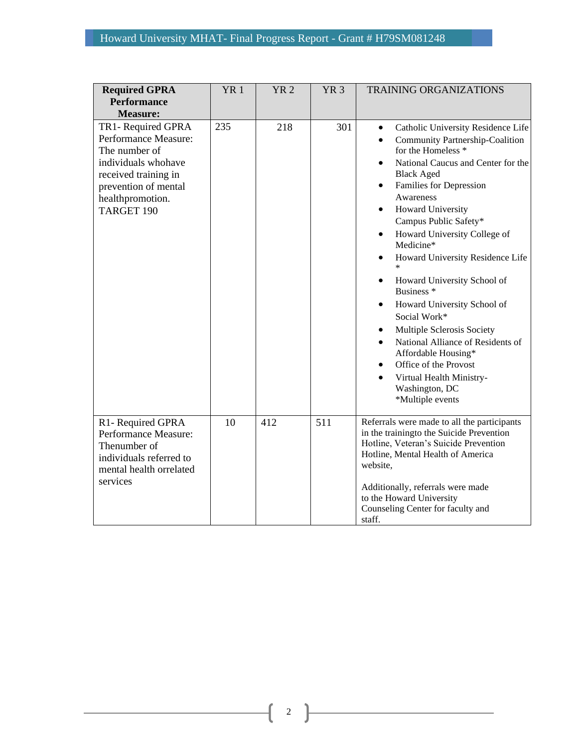| <b>Required GPRA</b><br><b>Performance</b><br><b>Measure:</b>                                                                                                        | YR <sub>1</sub> | <b>YR2</b> | YR <sub>3</sub> | <b>TRAINING ORGANIZATIONS</b>                                                                                                                                                                                                                                                                                                                                                                                                                                                                                                                                                                                                                                                                                                                                       |  |  |
|----------------------------------------------------------------------------------------------------------------------------------------------------------------------|-----------------|------------|-----------------|---------------------------------------------------------------------------------------------------------------------------------------------------------------------------------------------------------------------------------------------------------------------------------------------------------------------------------------------------------------------------------------------------------------------------------------------------------------------------------------------------------------------------------------------------------------------------------------------------------------------------------------------------------------------------------------------------------------------------------------------------------------------|--|--|
| TR1- Required GPRA<br>Performance Measure:<br>The number of<br>individuals whohave<br>received training in<br>prevention of mental<br>healthpromotion.<br>TARGET 190 | 235             | 218        | 301             | Catholic University Residence Life<br>$\bullet$<br>Community Partnership-Coalition<br>$\bullet$<br>for the Homeless <sup>*</sup><br>National Caucus and Center for the<br>$\bullet$<br><b>Black Aged</b><br>Families for Depression<br>$\bullet$<br>Awareness<br>Howard University<br>٠<br>Campus Public Safety*<br>Howard University College of<br>٠<br>Medicine*<br>Howard University Residence Life<br>Howard University School of<br>Business <sup>*</sup><br>Howard University School of<br>$\bullet$<br>Social Work*<br>Multiple Sclerosis Society<br>$\bullet$<br>National Alliance of Residents of<br>$\bullet$<br>Affordable Housing*<br>Office of the Provost<br>$\bullet$<br>Virtual Health Ministry-<br>$\bullet$<br>Washington, DC<br>*Multiple events |  |  |
| R1-Required GPRA<br>Performance Measure:<br>Thenumber of<br>individuals referred to<br>mental health orrelated<br>services                                           | 10              | 412        | 511             | Referrals were made to all the participants<br>in the trainingto the Suicide Prevention<br>Hotline, Veteran's Suicide Prevention<br>Hotline, Mental Health of America<br>website,<br>Additionally, referrals were made<br>to the Howard University<br>Counseling Center for faculty and<br>staff.                                                                                                                                                                                                                                                                                                                                                                                                                                                                   |  |  |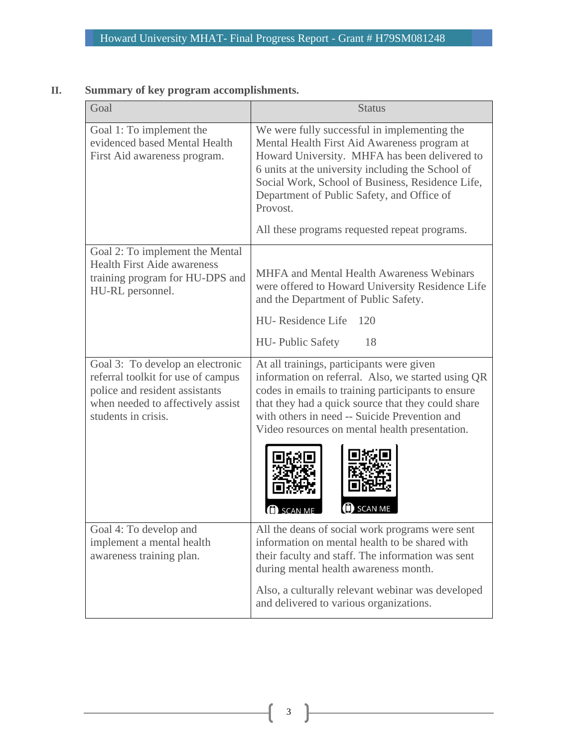# **II. Summary of key program accomplishments.**

| Goal                                                                                                                                                                 | <b>Status</b>                                                                                                                                                                                                                                                                                                    |
|----------------------------------------------------------------------------------------------------------------------------------------------------------------------|------------------------------------------------------------------------------------------------------------------------------------------------------------------------------------------------------------------------------------------------------------------------------------------------------------------|
| Goal 1: To implement the<br>evidenced based Mental Health<br>First Aid awareness program.                                                                            | We were fully successful in implementing the<br>Mental Health First Aid Awareness program at<br>Howard University. MHFA has been delivered to<br>6 units at the university including the School of<br>Social Work, School of Business, Residence Life,<br>Department of Public Safety, and Office of<br>Provost. |
|                                                                                                                                                                      | All these programs requested repeat programs.                                                                                                                                                                                                                                                                    |
| Goal 2: To implement the Mental<br><b>Health First Aide awareness</b><br>training program for HU-DPS and<br>HU-RL personnel.                                         | MHFA and Mental Health Awareness Webinars<br>were offered to Howard University Residence Life<br>and the Department of Public Safety.<br>HU-Residence Life<br>120<br>18<br><b>HU</b> - Public Safety                                                                                                             |
| Goal 3: To develop an electronic<br>referral toolkit for use of campus<br>police and resident assistants<br>when needed to affectively assist<br>students in crisis. | At all trainings, participants were given<br>information on referral. Also, we started using QR<br>codes in emails to training participants to ensure<br>that they had a quick source that they could share<br>with others in need -- Suicide Prevention and<br>Video resources on mental health presentation.   |
|                                                                                                                                                                      | SCAN ME                                                                                                                                                                                                                                                                                                          |
| Goal 4: To develop and<br>implement a mental health<br>awareness training plan.                                                                                      | All the deans of social work programs were sent<br>information on mental health to be shared with<br>their faculty and staff. The information was sent<br>during mental health awareness month.                                                                                                                  |
|                                                                                                                                                                      | Also, a culturally relevant webinar was developed<br>and delivered to various organizations.                                                                                                                                                                                                                     |

 $\begin{pmatrix} 3 \end{pmatrix}$ 

<u> 1980 - Johann Barbara, martxa a</u>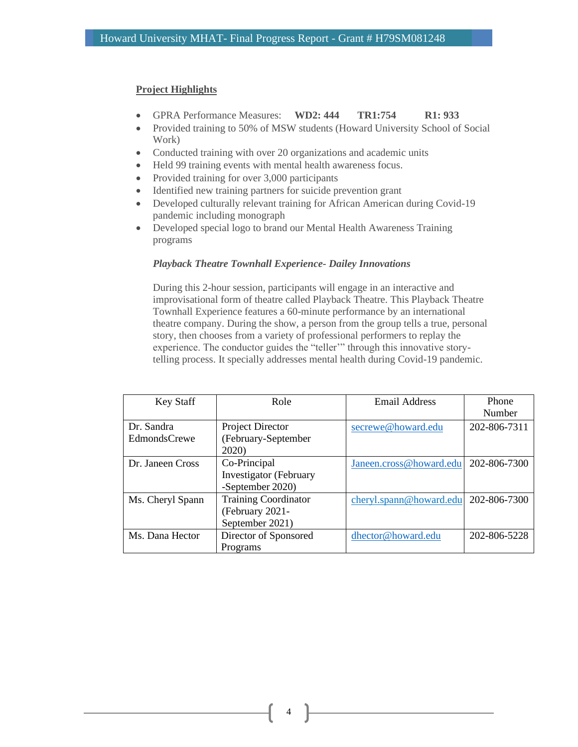### **Project Highlights**

- GPRA Performance Measures: **WD2: 444 TR1:754 R1: 933**
- Provided training to 50% of MSW students (Howard University School of Social Work)
- Conducted training with over 20 organizations and academic units
- Held 99 training events with mental health awareness focus.
- Provided training for over 3,000 participants
- Identified new training partners for suicide prevention grant
- Developed culturally relevant training for African American during Covid-19 pandemic including monograph
- Developed special logo to brand our Mental Health Awareness Training programs

#### *Playback Theatre Townhall Experience- Dailey Innovations*

During this 2-hour session, participants will engage in an interactive and improvisational form of theatre called Playback Theatre. This Playback Theatre Townhall Experience features a 60-minute performance by an international theatre company. During the show, a person from the group tells a true, personal story, then chooses from a variety of professional performers to replay the experience. The conductor guides the "teller'" through this innovative storytelling process. It specially addresses mental health during Covid-19 pandemic.

| Key Staff           | Role                          | Email Address           | Phone<br>Number |
|---------------------|-------------------------------|-------------------------|-----------------|
| Dr. Sandra          | Project Director              | secrewe@howard.edu      | 202-806-7311    |
| <b>EdmondsCrewe</b> | (February-September<br>2020)  |                         |                 |
| Dr. Janeen Cross    | Co-Principal                  | Janeen.cross@howard.edu | 202-806-7300    |
|                     | <b>Investigator</b> (February |                         |                 |
|                     | -September 2020)              |                         |                 |
| Ms. Cheryl Spann    | <b>Training Coordinator</b>   | cheryl.spann@howard.edu | 202-806-7300    |
|                     | (February 2021-               |                         |                 |
|                     | September 2021)               |                         |                 |
| Ms. Dana Hector     | Director of Sponsored         | dhector@howard.edu      | 202-806-5228    |
|                     | Programs                      |                         |                 |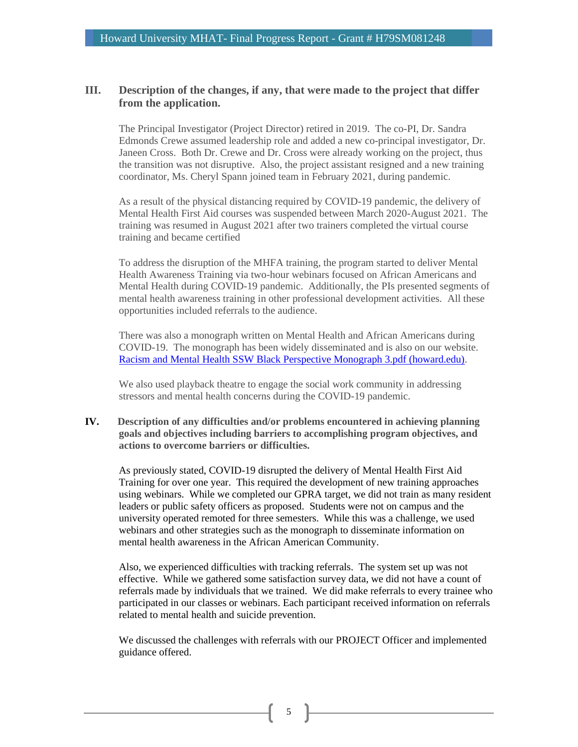## **III. Description of the changes, if any, that were made to the project that differ from the application.**

The Principal Investigator (Project Director) retired in 2019. The co-PI, Dr. Sandra Edmonds Crewe assumed leadership role and added a new co-principal investigator, Dr. Janeen Cross. Both Dr. Crewe and Dr. Cross were already working on the project, thus the transition was not disruptive. Also, the project assistant resigned and a new training coordinator, Ms. Cheryl Spann joined team in February 2021, during pandemic.

As a result of the physical distancing required by COVID-19 pandemic, the delivery of Mental Health First Aid courses was suspended between March 2020-August 2021. The training was resumed in August 2021 after two trainers completed the virtual course training and became certified

To address the disruption of the MHFA training, the program started to deliver Mental Health Awareness Training via two-hour webinars focused on African Americans and Mental Health during COVID-19 pandemic. Additionally, the PIs presented segments of mental health awareness training in other professional development activities. All these opportunities included referrals to the audience.

There was also a monograph written on Mental Health and African Americans during COVID-19. The monograph has been widely disseminated and is also on our website. [Racism and Mental Health SSW Black Perspective Monograph 3.pdf \(howard.edu\).](http://socialwork.howard.edu/sites/socialwork.howard.edu/files/Racism%20and%20Mental%20Health%20%20SSW%20Black%20Perspective%20Monograph%203.pdf)

We also used playback theatre to engage the social work community in addressing stressors and mental health concerns during the COVID-19 pandemic.

**IV. Description of any difficulties and/or problems encountered in achieving planning goals and objectives including barriers to accomplishing program objectives, and actions to overcome barriers or difficulties.**

As previously stated, COVID-19 disrupted the delivery of Mental Health First Aid Training for over one year. This required the development of new training approaches using webinars. While we completed our GPRA target, we did not train as many resident leaders or public safety officers as proposed. Students were not on campus and the university operated remoted for three semesters. While this was a challenge, we used webinars and other strategies such as the monograph to disseminate information on mental health awareness in the African American Community.

Also, we experienced difficulties with tracking referrals. The system set up was not effective. While we gathered some satisfaction survey data, we did not have a count of referrals made by individuals that we trained. We did make referrals to every trainee who participated in our classes or webinars. Each participant received information on referrals related to mental health and suicide prevention.

We discussed the challenges with referrals with our PROJECT Officer and implemented guidance offered.

5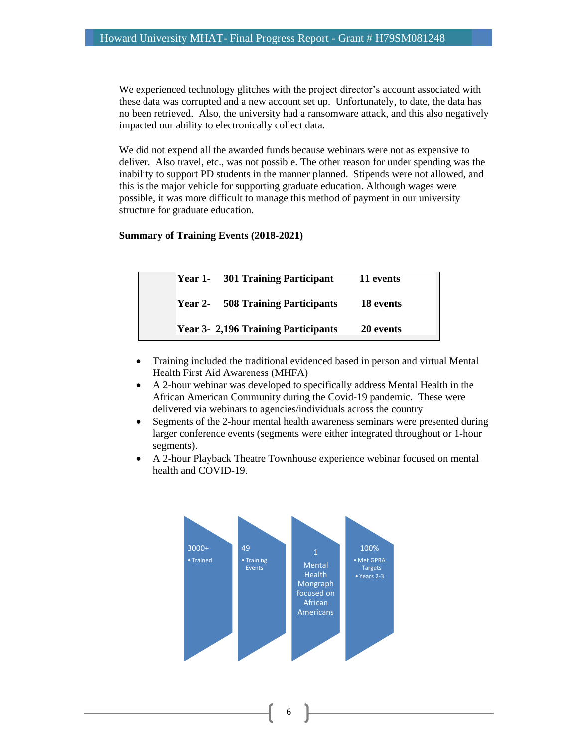We experienced technology glitches with the project director's account associated with these data was corrupted and a new account set up. Unfortunately, to date, the data has no been retrieved. Also, the university had a ransomware attack, and this also negatively impacted our ability to electronically collect data.

We did not expend all the awarded funds because webinars were not as expensive to deliver. Also travel, etc., was not possible. The other reason for under spending was the inability to support PD students in the manner planned. Stipends were not allowed, and this is the major vehicle for supporting graduate education. Although wages were possible, it was more difficult to manage this method of payment in our university structure for graduate education.

## **Summary of Training Events (2018-2021)**

| Year 1- 301 Training Participant          | 11 events |
|-------------------------------------------|-----------|
| <b>Year 2-</b> 508 Training Participants  | 18 events |
| <b>Year 3-2,196 Training Participants</b> | 20 events |

- Training included the traditional evidenced based in person and virtual Mental Health First Aid Awareness (MHFA)
- A 2-hour webinar was developed to specifically address Mental Health in the African American Community during the Covid-19 pandemic. These were delivered via webinars to agencies/individuals across the country
- Segments of the 2-hour mental health awareness seminars were presented during larger conference events (segments were either integrated throughout or 1-hour segments).
- A 2-hour Playback Theatre Townhouse experience webinar focused on mental health and COVID-19.

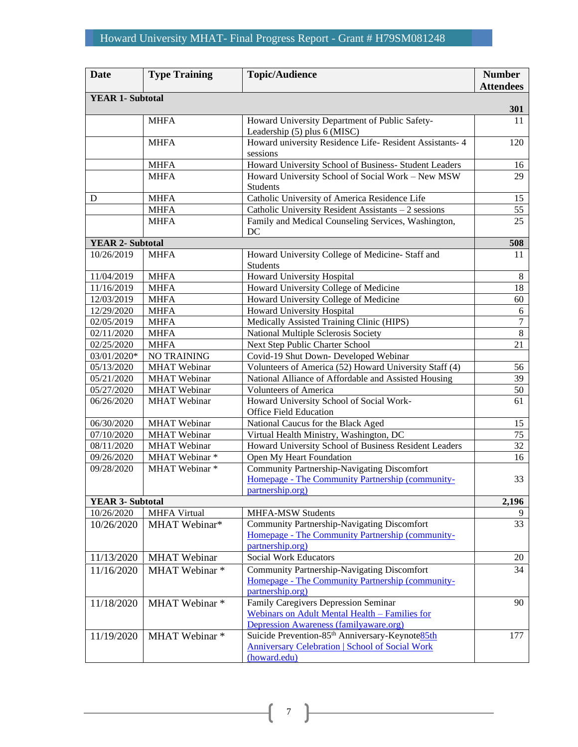| <b>Date</b>             | <b>Type Training</b> | <b>Topic/Audience</b>                                                                                                                 | <b>Number</b><br><b>Attendees</b> |
|-------------------------|----------------------|---------------------------------------------------------------------------------------------------------------------------------------|-----------------------------------|
| <b>YEAR 1- Subtotal</b> |                      |                                                                                                                                       | 301                               |
|                         | <b>MHFA</b>          | Howard University Department of Public Safety-<br>Leadership (5) plus 6 (MISC)                                                        | 11                                |
|                         | <b>MHFA</b>          | Howard university Residence Life-Resident Assistants- 4<br>sessions                                                                   | 120                               |
|                         | <b>MHFA</b>          | Howard University School of Business- Student Leaders                                                                                 | 16                                |
|                         | <b>MHFA</b>          | Howard University School of Social Work - New MSW<br><b>Students</b>                                                                  | 29                                |
| D                       | <b>MHFA</b>          | Catholic University of America Residence Life                                                                                         | 15                                |
|                         | <b>MHFA</b>          | Catholic University Resident Assistants - 2 sessions                                                                                  | 55                                |
|                         | <b>MHFA</b>          | Family and Medical Counseling Services, Washington,<br>DC                                                                             | 25                                |
| <b>YEAR 2- Subtotal</b> |                      |                                                                                                                                       | 508                               |
| 10/26/2019              | <b>MHFA</b>          | Howard University College of Medicine- Staff and<br>Students                                                                          | 11                                |
| 11/04/2019              | <b>MHFA</b>          | Howard University Hospital                                                                                                            | $8\,$                             |
| 11/16/2019              | <b>MHFA</b>          | Howard University College of Medicine                                                                                                 | 18                                |
| 12/03/2019              | <b>MHFA</b>          | Howard University College of Medicine                                                                                                 | 60                                |
| 12/29/2020              | <b>MHFA</b>          | Howard University Hospital                                                                                                            | 6                                 |
| 02/05/2019              | <b>MHFA</b>          | Medically Assisted Training Clinic (HIPS)                                                                                             | $\overline{7}$                    |
| 02/11/2020              | <b>MHFA</b>          | National Multiple Sclerosis Society                                                                                                   | $\sqrt{8}$                        |
| 02/25/2020              | <b>MHFA</b>          | Next Step Public Charter School                                                                                                       | 21                                |
| 03/01/2020*             | <b>NO TRAINING</b>   | Covid-19 Shut Down- Developed Webinar                                                                                                 |                                   |
| 05/13/2020              | <b>MHAT</b> Webinar  | Volunteers of America (52) Howard University Staff (4)                                                                                | 56                                |
| 05/21/2020              | <b>MHAT</b> Webinar  | National Alliance of Affordable and Assisted Housing                                                                                  | 39                                |
| 05/27/2020              | <b>MHAT</b> Webinar  | <b>Volunteers of America</b>                                                                                                          | 50                                |
| 06/26/2020              | <b>MHAT</b> Webinar  | Howard University School of Social Work-<br><b>Office Field Education</b>                                                             | 61                                |
| 06/30/2020              | <b>MHAT</b> Webinar  | National Caucus for the Black Aged                                                                                                    | 15                                |
| 07/10/2020              | <b>MHAT</b> Webinar  | Virtual Health Ministry, Washington, DC                                                                                               | 75                                |
| 08/11/2020              | <b>MHAT</b> Webinar  | Howard University School of Business Resident Leaders                                                                                 | 32                                |
| 09/26/2020              | MHAT Webinar*        | Open My Heart Foundation                                                                                                              | 16                                |
| 09/28/2020              | MHAT Webinar*        | Community Partnership-Navigating Discomfort<br>Homepage - The Community Partnership (community-<br>partnership.org)                   | 33                                |
| <b>YEAR 3- Subtotal</b> |                      |                                                                                                                                       | 2,196                             |
| 10/26/2020              | <b>MHFA Virtual</b>  | <b>MHFA-MSW Students</b>                                                                                                              |                                   |
| 10/26/2020              | MHAT Webinar*        | Community Partnership-Navigating Discomfort<br>Homepage - The Community Partnership (community-<br>partnership.org)                   | 33                                |
| 11/13/2020              | <b>MHAT</b> Webinar  | <b>Social Work Educators</b>                                                                                                          | 20                                |
| 11/16/2020              | MHAT Webinar *       | <b>Community Partnership-Navigating Discomfort</b><br>Homepage - The Community Partnership (community-<br>partnership.org)            | 34                                |
| 11/18/2020              | MHAT Webinar *       | Family Caregivers Depression Seminar<br>Webinars on Adult Mental Health - Families for<br>Depression Awareness (familyaware.org)      | 90                                |
| 11/19/2020              | MHAT Webinar *       | Suicide Prevention-85 <sup>th</sup> Anniversary-Keynote85th<br><b>Anniversary Celebration   School of Social Work</b><br>(howard.edu) | 177                               |

 $\begin{pmatrix} 7 \end{pmatrix}$ 

<u> 1980 - Johann Barbara, martxa a</u>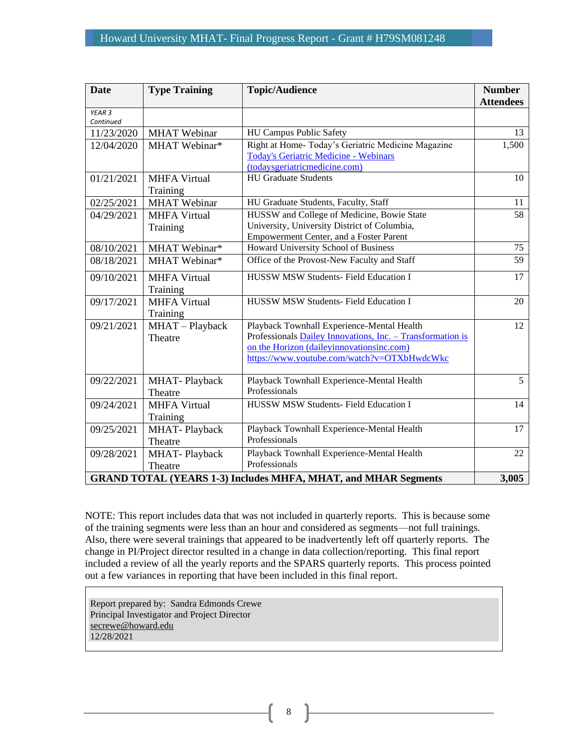| <b>Date</b>       | <b>Type Training</b>                                                           | <b>Topic/Audience</b>                                      | <b>Number</b><br><b>Attendees</b> |  |
|-------------------|--------------------------------------------------------------------------------|------------------------------------------------------------|-----------------------------------|--|
| YEAR <sub>3</sub> |                                                                                |                                                            |                                   |  |
| Continued         |                                                                                |                                                            |                                   |  |
| 11/23/2020        | <b>MHAT</b> Webinar                                                            | HU Campus Public Safety                                    | 13                                |  |
| 12/04/2020        | MHAT Webinar*                                                                  | Right at Home- Today's Geriatric Medicine Magazine         | 1,500                             |  |
|                   |                                                                                | <b>Today's Geriatric Medicine - Webinars</b>               |                                   |  |
|                   |                                                                                | (todaysgeriatricmedicine.com)                              |                                   |  |
| 01/21/2021        | <b>MHFA Virtual</b>                                                            | <b>HU Graduate Students</b>                                | 10                                |  |
|                   | Training                                                                       |                                                            |                                   |  |
| 02/25/2021        | <b>MHAT</b> Webinar                                                            | HU Graduate Students, Faculty, Staff                       | 11                                |  |
| 04/29/2021        | <b>MHFA Virtual</b>                                                            | HUSSW and College of Medicine, Bowie State                 | 58                                |  |
|                   | Training                                                                       | University, University District of Columbia,               |                                   |  |
|                   |                                                                                | Empowerment Center, and a Foster Parent                    |                                   |  |
| 08/10/2021        | MHAT Webinar*                                                                  | Howard University School of Business                       | 75                                |  |
| 08/18/2021        | MHAT Webinar*                                                                  | Office of the Provost-New Faculty and Staff                | 59                                |  |
| 09/10/2021        | <b>MHFA Virtual</b>                                                            | HUSSW MSW Students- Field Education I                      | 17                                |  |
|                   | Training                                                                       |                                                            |                                   |  |
| 09/17/2021        | <b>MHFA Virtual</b>                                                            | HUSSW MSW Students- Field Education I                      | 20                                |  |
|                   | Training                                                                       |                                                            |                                   |  |
| 09/21/2021        | MHAT-Playback                                                                  | Playback Townhall Experience-Mental Health                 | 12                                |  |
|                   | Theatre                                                                        | Professionals Dailey Innovations, Inc. - Transformation is |                                   |  |
|                   |                                                                                | on the Horizon (daileyinnovationsinc.com)                  |                                   |  |
|                   |                                                                                | https://www.youtube.com/watch?v=OTXbHwdcWkc                |                                   |  |
| 09/22/2021        | <b>MHAT-Playback</b>                                                           | Playback Townhall Experience-Mental Health                 | 5                                 |  |
|                   | Theatre                                                                        | Professionals                                              |                                   |  |
| 09/24/2021        | <b>MHFA Virtual</b>                                                            | HUSSW MSW Students- Field Education I                      | 14                                |  |
|                   | Training                                                                       |                                                            |                                   |  |
| 09/25/2021        | MHAT-Playback                                                                  | Playback Townhall Experience-Mental Health                 | 17                                |  |
|                   | Theatre                                                                        | Professionals                                              |                                   |  |
| 09/28/2021        | <b>MHAT-Playback</b>                                                           | Playback Townhall Experience-Mental Health                 | 22                                |  |
|                   | Theatre                                                                        | Professionals                                              |                                   |  |
|                   | 3,005<br><b>GRAND TOTAL (YEARS 1-3) Includes MHFA, MHAT, and MHAR Segments</b> |                                                            |                                   |  |

NOTE: This report includes data that was not included in quarterly reports. This is because some of the training segments were less than an hour and considered as segments—not full trainings. Also, there were several trainings that appeared to be inadvertently left off quarterly reports. The change in PI/Project director resulted in a change in data collection/reporting. This final report included a review of all the yearly reports and the SPARS quarterly reports. This process pointed out a few variances in reporting that have been included in this final report.

Report prepared by: Sandra Edmonds Crewe Principal Investigator and Project Director [secrewe@howard.edu](mailto:secrewe@howard.edu)  12/28/2021

8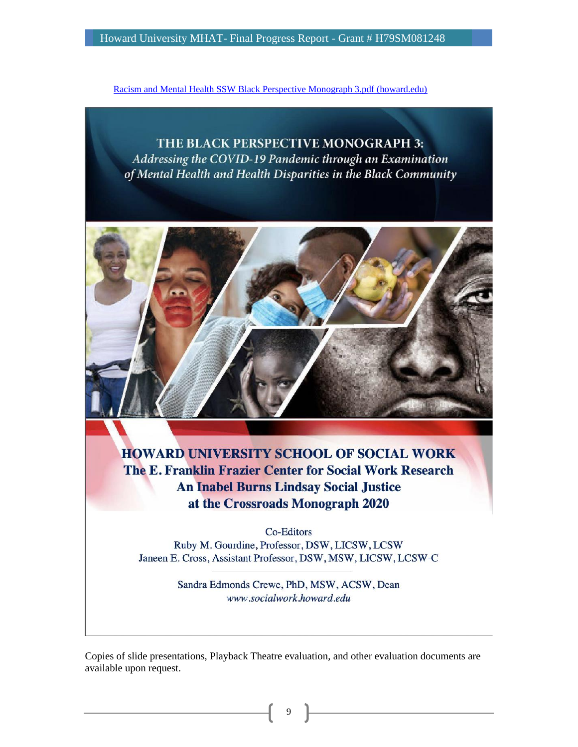[Racism and Mental Health SSW Black Perspective Monograph 3.pdf \(howard.edu\)](http://socialwork.howard.edu/sites/socialwork.howard.edu/files/Racism%20and%20Mental%20Health%20%20SSW%20Black%20Perspective%20Monograph%203.pdf)

# THE BLACK PERSPECTIVE MONOGRAPH 3: Addressing the COVID-19 Pandemic through an Examination of Mental Health and Health Disparities in the Black Community



**HOWARD UNIVERSITY SCHOOL OF SOCIAL WORK** The E. Franklin Frazier Center for Social Work Research **An Inabel Burns Lindsay Social Justice** at the Crossroads Monograph 2020

**Co-Editors** Ruby M. Gourdine, Professor, DSW, LICSW, LCSW Janeen E. Cross, Assistant Professor, DSW, MSW, LICSW, LCSW-C

> Sandra Edmonds Crewe, PhD, MSW, ACSW, Dean www.socialwork.howard.edu

Copies of slide presentations, Playback Theatre evaluation, and other evaluation documents are available upon request.

9